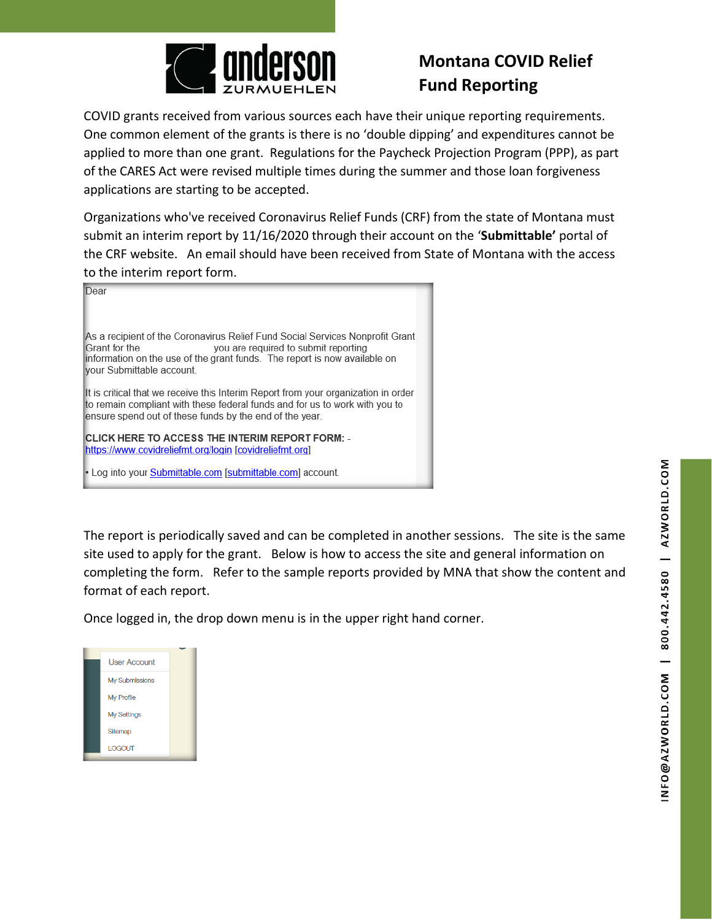

## **Montana COVID Relief Fund Reporting**

COVID grants received from various sources each have their unique reporting requirements. One common element of the grants is there is no 'double dipping' and expenditures cannot be applied to more than one grant. Regulations for the Paycheck Projection Program (PPP), as part of the CARES Act were revised multiple times during the summer and those loan forgiveness applications are starting to be accepted.

Organizations who've received Coronavirus Relief Funds (CRF) from the state of Montana must submit an interim report by 11/16/2020 through their account on the '**Submittable'** portal of the CRF website. An email should have been received from State of Montana with the access to the interim report form.

| Dear                                                                                                                                                                                                                                             |  |  |
|--------------------------------------------------------------------------------------------------------------------------------------------------------------------------------------------------------------------------------------------------|--|--|
| As a recipient of the Coronavirus Relief Fund Social Services Nonprofit Grant<br>Grant for the<br>you are required to submit reporting<br>information on the use of the grant funds. The report is now available on<br>vour Submittable account. |  |  |
| It is critical that we receive this Interim Report from your organization in order<br>to remain compliant with these federal funds and for us to work with you to<br>ensure spend out of these funds by the end of the year.                     |  |  |
| <b>ICLICK HERE TO ACCESS THE INTERIM REPORT FORM:</b> -<br>https://www.covidreliefmt.org/login [covidreliefmt.org]                                                                                                                               |  |  |
| • Log into your Submittable.com [submittable.com] account.                                                                                                                                                                                       |  |  |

The report is periodically saved and can be completed in another sessions. The site is the same site used to apply for the grant. Below is how to access the site and general information on completing the form. Refer to the sample reports provided by MNA that show the content and format of each report.

Once logged in, the drop down menu is in the upper right hand corner.

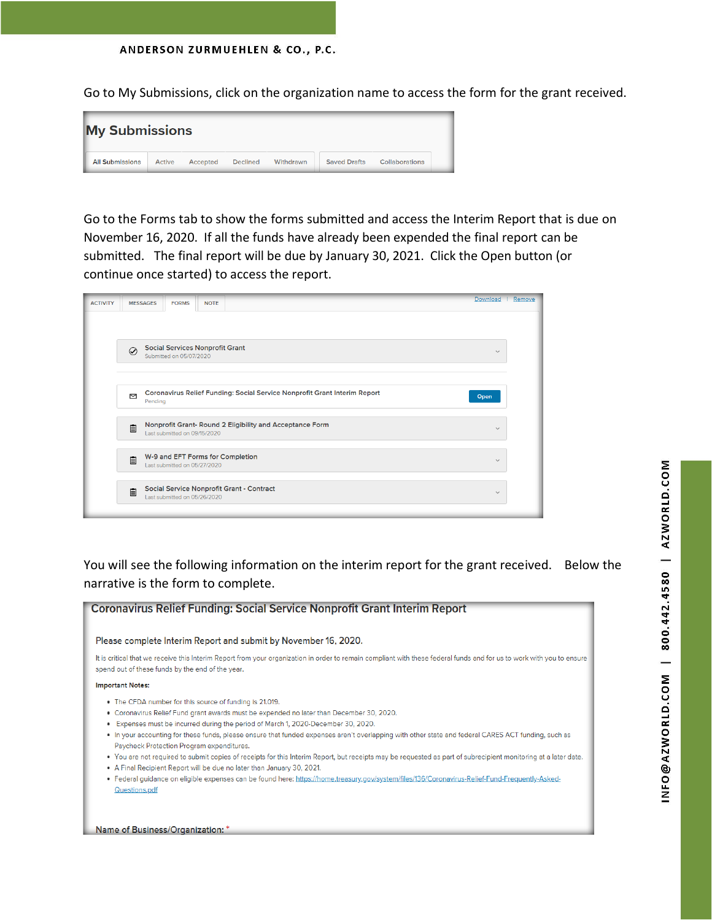ANDERSON ZURMUEHLEN & CO., P.C.

Go to My Submissions, click on the organization name to access the form for the grant received.



Go to the Forms tab to show the forms submitted and access the Interim Report that is due on November 16, 2020. If all the funds have already been expended the final report can be submitted. The final report will be due by January 30, 2021. Click the Open button (or continue once started) to access the report.

| <b>ACTIVITY</b> | <b>MESSAGES</b><br><b>FORMS</b><br><b>NOTE</b>                                                | Download     | Remove |
|-----------------|-----------------------------------------------------------------------------------------------|--------------|--------|
|                 |                                                                                               |              |        |
|                 | <b>Social Services Nonprofit Grant</b><br>$\odot$<br>Submitted on 05/07/2020                  | $\checkmark$ |        |
|                 | Coronavirus Relief Funding: Social Service Nonprofit Grant Interim Report<br>⊠<br>Pending     | Open         |        |
|                 | Nonprofit Grant- Round 2 Eligibility and Acceptance Form<br>自<br>Last submitted on 09/15/2020 | $\checkmark$ |        |
|                 | W-9 and EFT Forms for Completion<br>自<br>Last submitted on 05/27/2020                         | $\checkmark$ |        |
|                 | Social Service Nonprofit Grant - Contract<br>自<br>Last submitted on 05/26/2020                | $\checkmark$ |        |

You will see the following information on the interim report for the grant received. Below the narrative is the form to complete.